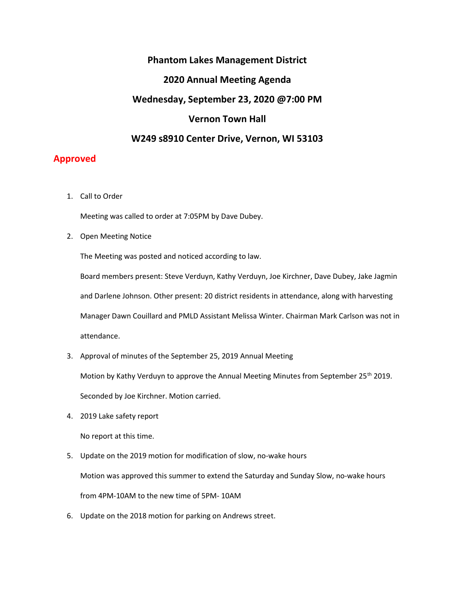## Phantom Lakes Management District

### 2020 Annual Meeting Agenda

#### Wednesday, September 23, 2020 @7:00 PM

## Vernon Town Hall

#### W249 s8910 Center Drive, Vernon, WI 53103

# Approved

1. Call to Order

Meeting was called to order at 7:05PM by Dave Dubey.

2. Open Meeting Notice

The Meeting was posted and noticed according to law.

Board members present: Steve Verduyn, Kathy Verduyn, Joe Kirchner, Dave Dubey, Jake Jagmin and Darlene Johnson. Other present: 20 district residents in attendance, along with harvesting Manager Dawn Couillard and PMLD Assistant Melissa Winter. Chairman Mark Carlson was not in attendance.

3. Approval of minutes of the September 25, 2019 Annual Meeting

Motion by Kathy Verduyn to approve the Annual Meeting Minutes from September 25<sup>th</sup> 2019.

Seconded by Joe Kirchner. Motion carried.

4. 2019 Lake safety report

No report at this time.

5. Update on the 2019 motion for modification of slow, no-wake hours

Motion was approved this summer to extend the Saturday and Sunday Slow, no-wake hours

from 4PM-10AM to the new time of 5PM- 10AM

6. Update on the 2018 motion for parking on Andrews street.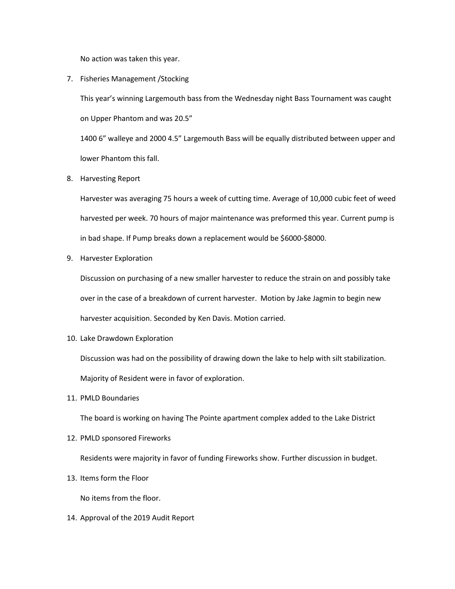No action was taken this year.

7. Fisheries Management /Stocking

This year's winning Largemouth bass from the Wednesday night Bass Tournament was caught on Upper Phantom and was 20.5"

1400 6" walleye and 2000 4.5" Largemouth Bass will be equally distributed between upper and lower Phantom this fall.

8. Harvesting Report

Harvester was averaging 75 hours a week of cutting time. Average of 10,000 cubic feet of weed harvested per week. 70 hours of major maintenance was preformed this year. Current pump is in bad shape. If Pump breaks down a replacement would be \$6000-\$8000.

9. Harvester Exploration

Discussion on purchasing of a new smaller harvester to reduce the strain on and possibly take over in the case of a breakdown of current harvester. Motion by Jake Jagmin to begin new harvester acquisition. Seconded by Ken Davis. Motion carried.

10. Lake Drawdown Exploration

Discussion was had on the possibility of drawing down the lake to help with silt stabilization. Majority of Resident were in favor of exploration.

11. PMLD Boundaries

The board is working on having The Pointe apartment complex added to the Lake District

12. PMLD sponsored Fireworks

Residents were majority in favor of funding Fireworks show. Further discussion in budget.

13. Items form the Floor

No items from the floor.

14. Approval of the 2019 Audit Report